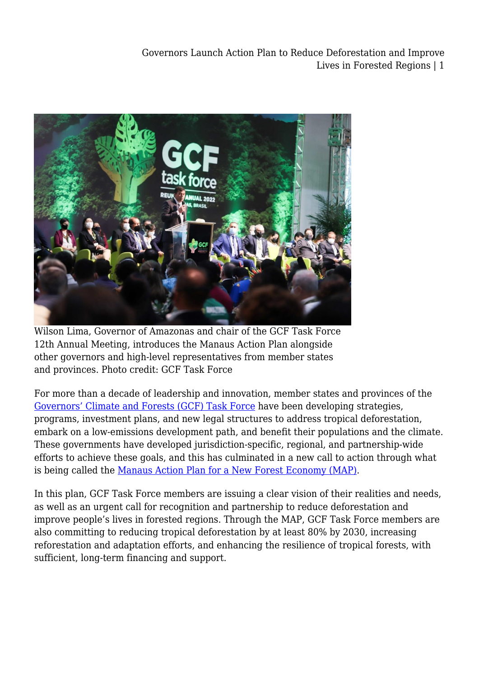

Wilson Lima, Governor of Amazonas and chair of the GCF Task Force 12th Annual Meeting, introduces the Manaus Action Plan alongside other governors and high-level representatives from member states and provinces. Photo credit: GCF Task Force

For more than a decade of leadership and innovation, member states and provinces of the [Governors' Climate and Forests \(GCF\) Task Force](https://www.gcftf.org/) have been developing strategies, programs, investment plans, and new legal structures to address tropical deforestation, embark on a low-emissions development path, and benefit their populations and the climate. These governments have developed jurisdiction-specific, regional, and partnership-wide efforts to achieve these goals, and this has culminated in a new call to action through what is being called the [Manaus Action Plan for a New Forest Economy \(MAP\).](https://legal-planet.org/wp-content/uploads/2022/03/Manaus-Action-Plan-for-a-New-Forest-Economy.pdf)

In this plan, GCF Task Force members are issuing a clear vision of their realities and needs, as well as an urgent call for recognition and partnership to reduce deforestation and improve people's lives in forested regions. Through the MAP, GCF Task Force members are also committing to reducing tropical deforestation by at least 80% by 2030, increasing reforestation and adaptation efforts, and enhancing the resilience of tropical forests, with sufficient, long-term financing and support.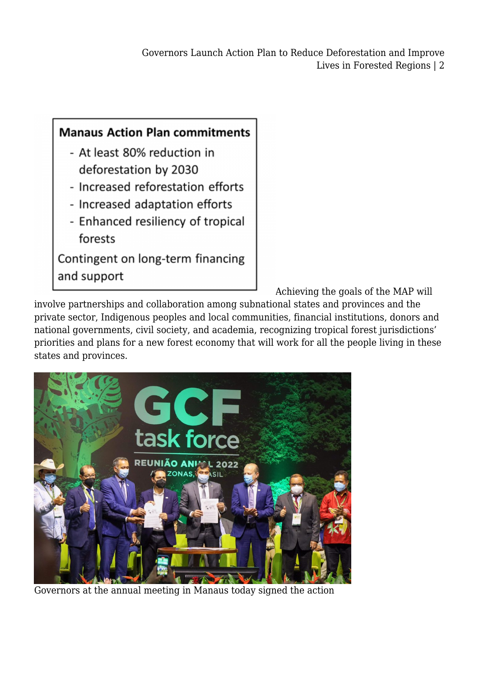

[A](https://legal-planet.org/wp-content/uploads/2022/03/Manaus-Action-Plan-for-a-New-Forest-Economy.pdf)chieving the goals of the MAP will

involve partnerships and collaboration among subnational states and provinces and the private sector, Indigenous peoples and local communities, financial institutions, donors and national governments, civil society, and academia, recognizing tropical forest jurisdictions' priorities and plans for a new forest economy that will work for all the people living in these states and provinces.



Governors at the annual meeting in Manaus today signed the action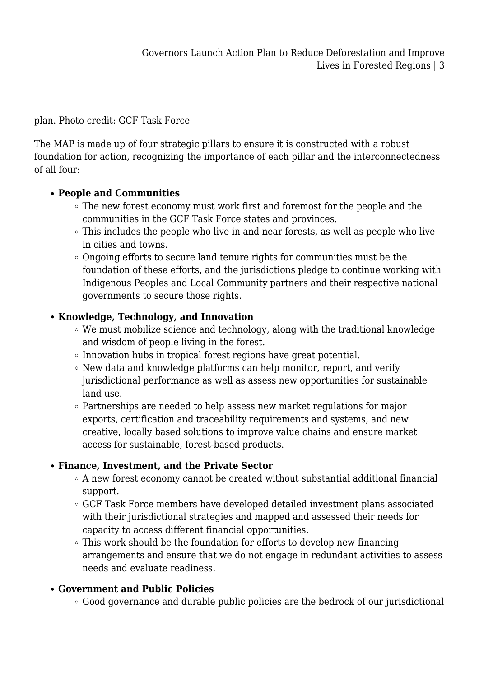plan. Photo credit: GCF Task Force

The MAP is made up of four strategic pillars to ensure it is constructed with a robust foundation for action, recognizing the importance of each pillar and the interconnectedness of all four:

### **People and Communities**

- The new forest economy must work first and foremost for the people and the communities in the GCF Task Force states and provinces.
- This includes the people who live in and near forests, as well as people who live in cities and towns.
- Ongoing efforts to secure land tenure rights for communities must be the foundation of these efforts, and the jurisdictions pledge to continue working with Indigenous Peoples and Local Community partners and their respective national governments to secure those rights.

# **Knowledge, Technology, and Innovation**

- We must mobilize science and technology, along with the traditional knowledge and wisdom of people living in the forest.
- Innovation hubs in tropical forest regions have great potential.
- $\circ$  New data and knowledge platforms can help monitor, report, and verify jurisdictional performance as well as assess new opportunities for sustainable land use.
- Partnerships are needed to help assess new market regulations for major exports, certification and traceability requirements and systems, and new creative, locally based solutions to improve value chains and ensure market access for sustainable, forest-based products.

# **Finance, Investment, and the Private Sector**

- A new forest economy cannot be created without substantial additional financial support.
- GCF Task Force members have developed detailed investment plans associated with their jurisdictional strategies and mapped and assessed their needs for capacity to access different financial opportunities.
- $\circ$  This work should be the foundation for efforts to develop new financing arrangements and ensure that we do not engage in redundant activities to assess needs and evaluate readiness.

# **Government and Public Policies**

Good governance and durable public policies are the bedrock of our jurisdictional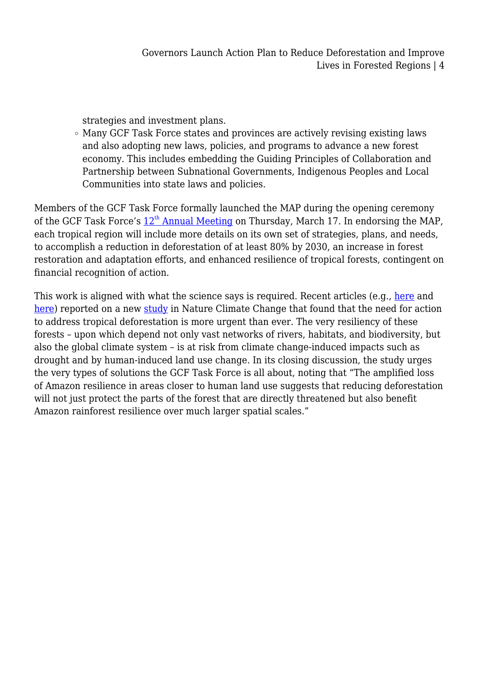strategies and investment plans.

Many GCF Task Force states and provinces are actively revising existing laws and also adopting new laws, policies, and programs to advance a new forest economy. This includes embedding the Guiding Principles of Collaboration and Partnership between Subnational Governments, Indigenous Peoples and Local Communities into state laws and policies.

Members of the GCF Task Force formally launched the MAP during the opening ceremony of [th](https://www.2022annualmeeting.com/agenda)e GCF Task Force's  $12<sup>th</sup>$  [Annual Meeting](https://www.2022annualmeeting.com/agenda) on Thursday, March 17. In endorsing the MAP, each tropical region will include more details on its own set of strategies, plans, and needs, to accomplish a reduction in deforestation of at least 80% by 2030, an increase in forest restoration and adaptation efforts, and enhanced resilience of tropical forests, contingent on financial recognition of action.

This work is aligned with what the science says is required. Recent articles (e.g., [here](https://www.washingtonpost.com/climate-environment/2022/03/07/amazon-rainforest-tipping-point-climate/) and [here](https://www.nytimes.com/2022/03/07/climate/amazon-rainforest-climate-change-deforestation.html)) reported on a new [study](https://www.nature.com/articles/s41558-022-01287-8??utm_medium=affiliate&utm_source=commission_junction&utm_campaign=CONR_PF018_ECOM_GL_PHSS_ALWYS_PRODUCT&utm_content=productdatafeed&utm_term=PID100104736&CJEVENT=8fdd794f9e9c11ec83de147f0a1c0e10#citeas) in Nature Climate Change that found that the need for action to address tropical deforestation is more urgent than ever. The very resiliency of these forests – upon which depend not only vast networks of rivers, habitats, and biodiversity, but also the global climate system – is at risk from climate change-induced impacts such as drought and by human-induced land use change. In its closing discussion, the study urges the very types of solutions the GCF Task Force is all about, noting that "The amplified loss of Amazon resilience in areas closer to human land use suggests that reducing deforestation will not just protect the parts of the forest that are directly threatened but also benefit Amazon rainforest resilience over much larger spatial scales."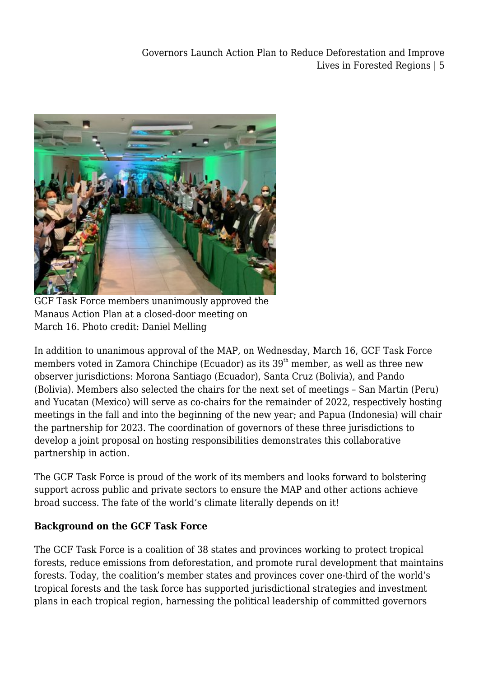Governors Launch Action Plan to Reduce Deforestation and Improve Lives in Forested Regions | 5



GCF Task Force members unanimously approved the Manaus Action Plan at a closed-door meeting on March 16. Photo credit: Daniel Melling

In addition to unanimous approval of the MAP, on Wednesday, March 16, GCF Task Force members voted in Zamora Chinchipe (Ecuador) as its  $39<sup>th</sup>$  member, as well as three new observer jurisdictions: Morona Santiago (Ecuador), Santa Cruz (Bolivia), and Pando (Bolivia). Members also selected the chairs for the next set of meetings – San Martin (Peru) and Yucatan (Mexico) will serve as co-chairs for the remainder of 2022, respectively hosting meetings in the fall and into the beginning of the new year; and Papua (Indonesia) will chair the partnership for 2023. The coordination of governors of these three jurisdictions to develop a joint proposal on hosting responsibilities demonstrates this collaborative partnership in action.

The GCF Task Force is proud of the work of its members and looks forward to bolstering support across public and private sectors to ensure the MAP and other actions achieve broad success. The fate of the world's climate literally depends on it!

### **Background on the GCF Task Force**

The GCF Task Force is a coalition of 38 states and provinces working to protect tropical forests, reduce emissions from deforestation, and promote rural development that maintains forests. Today, the coalition's member states and provinces cover one-third of the world's tropical forests and the task force has supported jurisdictional strategies and investment plans in each tropical region, harnessing the political leadership of committed governors